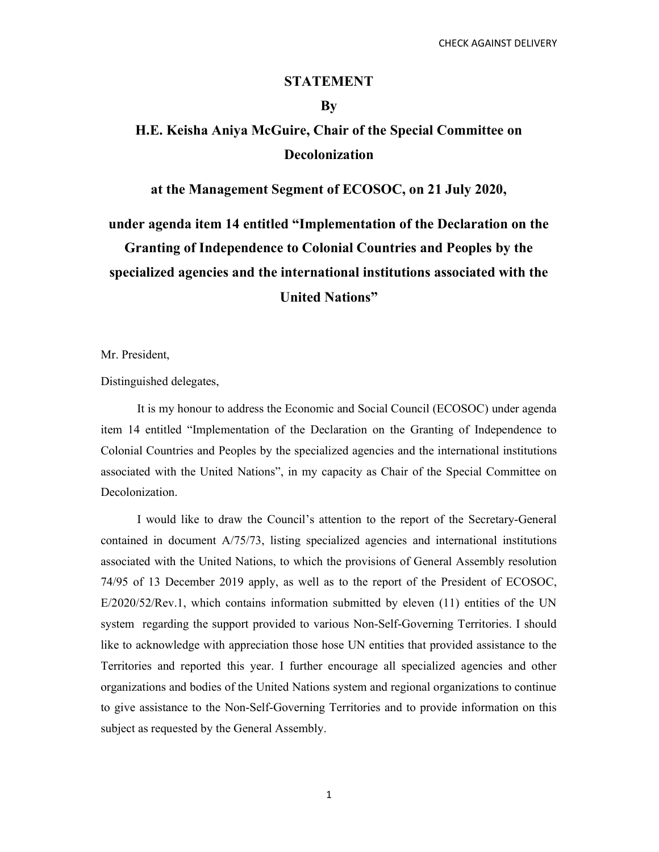### STATEMENT

## By

# H.E. Keisha Aniya McGuire, Chair of the Special Committee on Decolonization

at the Management Segment of ECOSOC, on 21 July 2020,

under agenda item 14 entitled "Implementation of the Declaration on the Granting of Independence to Colonial Countries and Peoples by the specialized agencies and the international institutions associated with the United Nations"

Mr. President,

Distinguished delegates,

 It is my honour to address the Economic and Social Council (ECOSOC) under agenda item 14 entitled "Implementation of the Declaration on the Granting of Independence to Colonial Countries and Peoples by the specialized agencies and the international institutions associated with the United Nations", in my capacity as Chair of the Special Committee on Decolonization.

 I would like to draw the Council's attention to the report of the Secretary-General contained in document A/75/73, listing specialized agencies and international institutions associated with the United Nations, to which the provisions of General Assembly resolution 74/95 of 13 December 2019 apply, as well as to the report of the President of ECOSOC, E/2020/52/Rev.1, which contains information submitted by eleven (11) entities of the UN system regarding the support provided to various Non-Self-Governing Territories. I should like to acknowledge with appreciation those hose UN entities that provided assistance to the Territories and reported this year. I further encourage all specialized agencies and other organizations and bodies of the United Nations system and regional organizations to continue to give assistance to the Non-Self-Governing Territories and to provide information on this subject as requested by the General Assembly.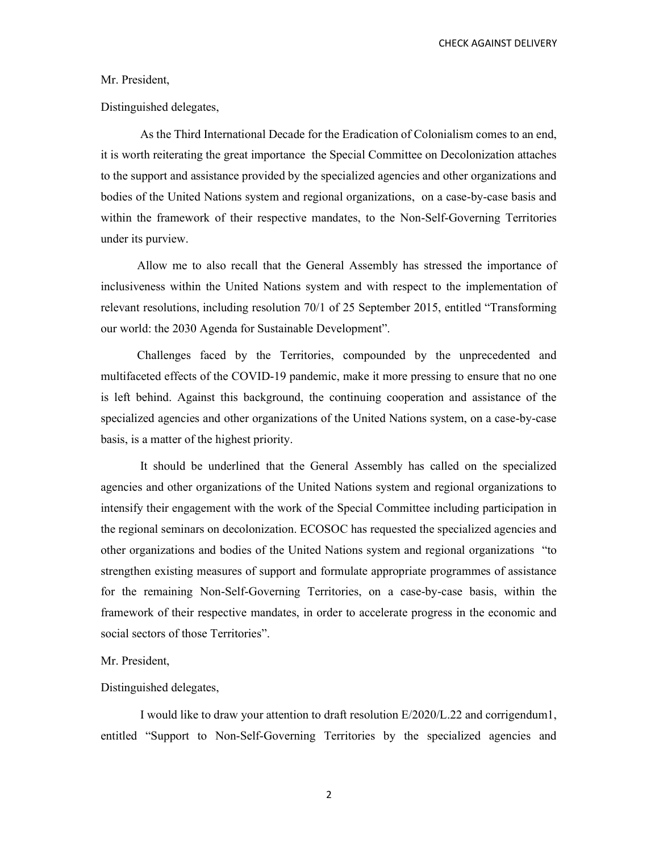CHECK AGAINST DELIVERY

#### Mr. President,

Distinguished delegates,

 As the Third International Decade for the Eradication of Colonialism comes to an end, it is worth reiterating the great importance the Special Committee on Decolonization attaches to the support and assistance provided by the specialized agencies and other organizations and bodies of the United Nations system and regional organizations, on a case-by-case basis and within the framework of their respective mandates, to the Non-Self-Governing Territories under its purview.

 Allow me to also recall that the General Assembly has stressed the importance of inclusiveness within the United Nations system and with respect to the implementation of relevant resolutions, including resolution 70/1 of 25 September 2015, entitled "Transforming our world: the 2030 Agenda for Sustainable Development".

 Challenges faced by the Territories, compounded by the unprecedented and multifaceted effects of the COVID-19 pandemic, make it more pressing to ensure that no one is left behind. Against this background, the continuing cooperation and assistance of the specialized agencies and other organizations of the United Nations system, on a case-by-case basis, is a matter of the highest priority.

 It should be underlined that the General Assembly has called on the specialized agencies and other organizations of the United Nations system and regional organizations to intensify their engagement with the work of the Special Committee including participation in the regional seminars on decolonization. ECOSOC has requested the specialized agencies and other organizations and bodies of the United Nations system and regional organizations "to strengthen existing measures of support and formulate appropriate programmes of assistance for the remaining Non-Self-Governing Territories, on a case-by-case basis, within the framework of their respective mandates, in order to accelerate progress in the economic and social sectors of those Territories".

#### Mr. President,

#### Distinguished delegates,

 I would like to draw your attention to draft resolution E/2020/L.22 and corrigendum1, entitled "Support to Non-Self-Governing Territories by the specialized agencies and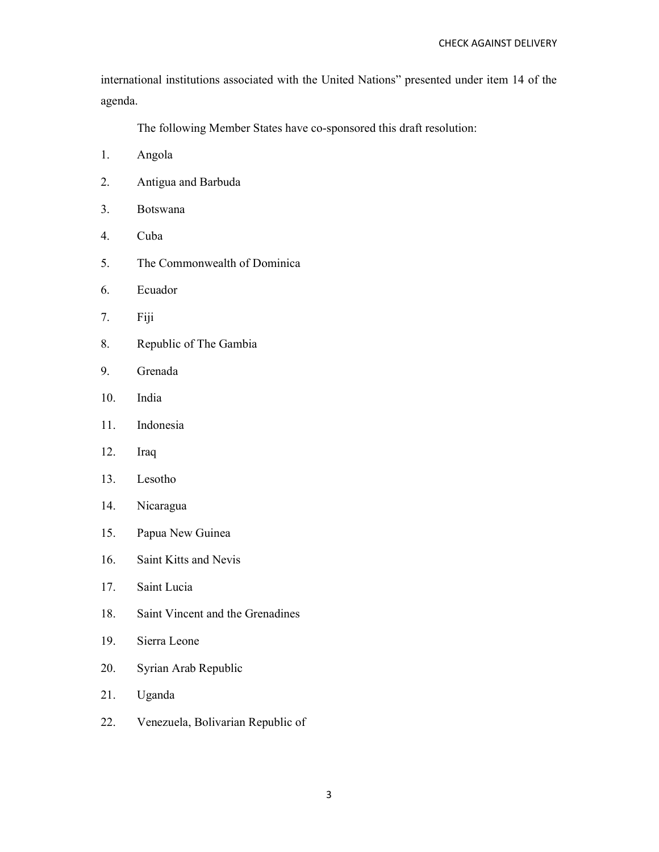international institutions associated with the United Nations" presented under item 14 of the agenda.

The following Member States have co-sponsored this draft resolution:

- 1. Angola
- 2. Antigua and Barbuda
- 3. Botswana
- 4. Cuba
- 5. The Commonwealth of Dominica
- 6. Ecuador
- 7. Fiji
- 8. Republic of The Gambia
- 9. Grenada
- 10. India
- 11. Indonesia
- 12. Iraq
- 13. Lesotho
- 14. Nicaragua
- 15. Papua New Guinea
- 16. Saint Kitts and Nevis
- 17. Saint Lucia
- 18. Saint Vincent and the Grenadines
- 19. Sierra Leone
- 20. Syrian Arab Republic
- 21. Uganda
- 22. Venezuela, Bolivarian Republic of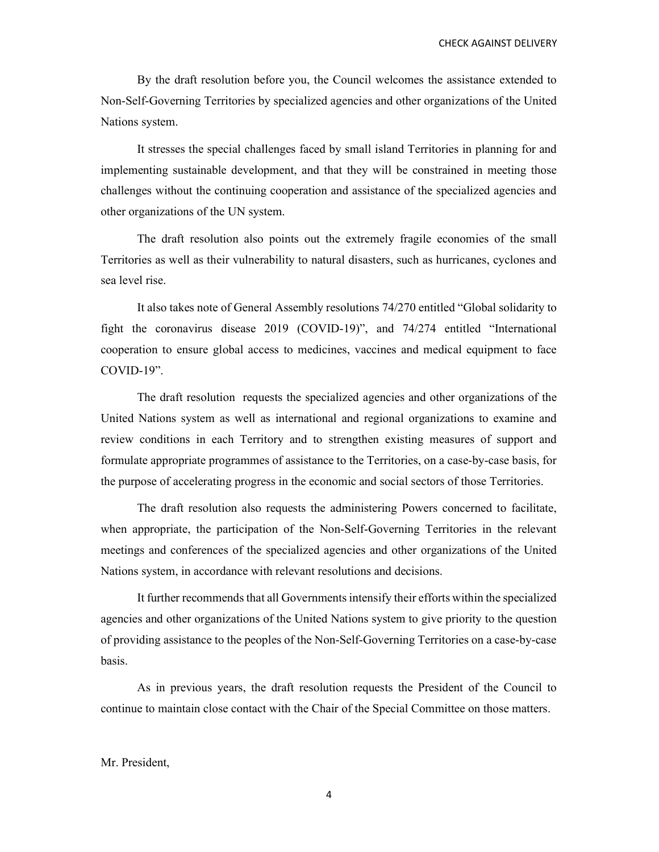By the draft resolution before you, the Council welcomes the assistance extended to Non-Self-Governing Territories by specialized agencies and other organizations of the United Nations system.

 It stresses the special challenges faced by small island Territories in planning for and implementing sustainable development, and that they will be constrained in meeting those challenges without the continuing cooperation and assistance of the specialized agencies and other organizations of the UN system.

 The draft resolution also points out the extremely fragile economies of the small Territories as well as their vulnerability to natural disasters, such as hurricanes, cyclones and sea level rise.

 It also takes note of General Assembly resolutions 74/270 entitled "Global solidarity to fight the coronavirus disease 2019 (COVID-19)", and 74/274 entitled "International cooperation to ensure global access to medicines, vaccines and medical equipment to face COVID-19".

 The draft resolution requests the specialized agencies and other organizations of the United Nations system as well as international and regional organizations to examine and review conditions in each Territory and to strengthen existing measures of support and formulate appropriate programmes of assistance to the Territories, on a case-by-case basis, for the purpose of accelerating progress in the economic and social sectors of those Territories.

 The draft resolution also requests the administering Powers concerned to facilitate, when appropriate, the participation of the Non-Self-Governing Territories in the relevant meetings and conferences of the specialized agencies and other organizations of the United Nations system, in accordance with relevant resolutions and decisions.

 It further recommends that all Governments intensify their efforts within the specialized agencies and other organizations of the United Nations system to give priority to the question of providing assistance to the peoples of the Non-Self-Governing Territories on a case-by-case basis.

 As in previous years, the draft resolution requests the President of the Council to continue to maintain close contact with the Chair of the Special Committee on those matters.

### Mr. President,